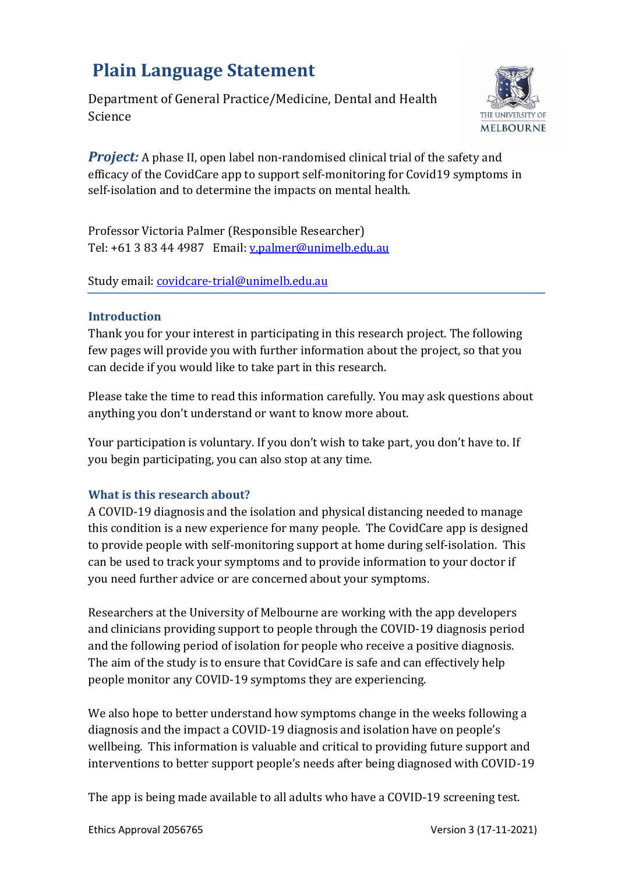# **Plain Language Statement**

Department of General Practice/Medicine, Dental and Health Science



*Project:* A phase II, open label non-randomised clinical trial of the safety and efficacy of the CovidCare app to support self-monitoring for Covid19 symptoms in self-isolation and to determine the impacts on mental health.

Professor Victoria Palmer (Responsible Researcher) Tel: +61 3 83 44 4987 Email: [v.palmer@unimelb.edu.au](mailto:v.palmer@unimelb.edu.au)

Study email: [covidcare-trial@unimelb.edu.au](mailto:covidcare-trial@unimelb.edu.au)

# **Introduction**

Thank you for your interest in participating in this research project. The following few pages will provide you with further information about the project, so that you can decide if you would like to take part in this research.

Please take the time to read this information carefully. You may ask questions about anything you don't understand or want to know more about.

Your participation is voluntary. If you don't wish to take part, you don't have to. If you begin participating, you can also stop at any time.

# **What is this research about?**

A COVID-19 diagnosis and the isolation and physical distancing needed to manage this condition is a new experience for many people. The CovidCare app is designed to provide people with self-monitoring support at home during self-isolation. This can be used to track your symptoms and to provide information to your doctor if you need further advice or are concerned about your symptoms.

Researchers at the University of Melbourne are working with the app developers and clinicians providing support to people through the COVID-19 diagnosis period and the following period of isolation for people who receive a positive diagnosis. The aim of the study is to ensure that CovidCare is safe and can effectively help people monitor any COVID-19 symptoms they are experiencing.

We also hope to better understand how symptoms change in the weeks following a diagnosis and the impact a COVID-19 diagnosis and isolation have on people's wellbeing. This information is valuable and critical to providing future support and interventions to better support people's needs after being diagnosed with COVID-19

The app is being made available to all adults who have a COVID-19 screening test.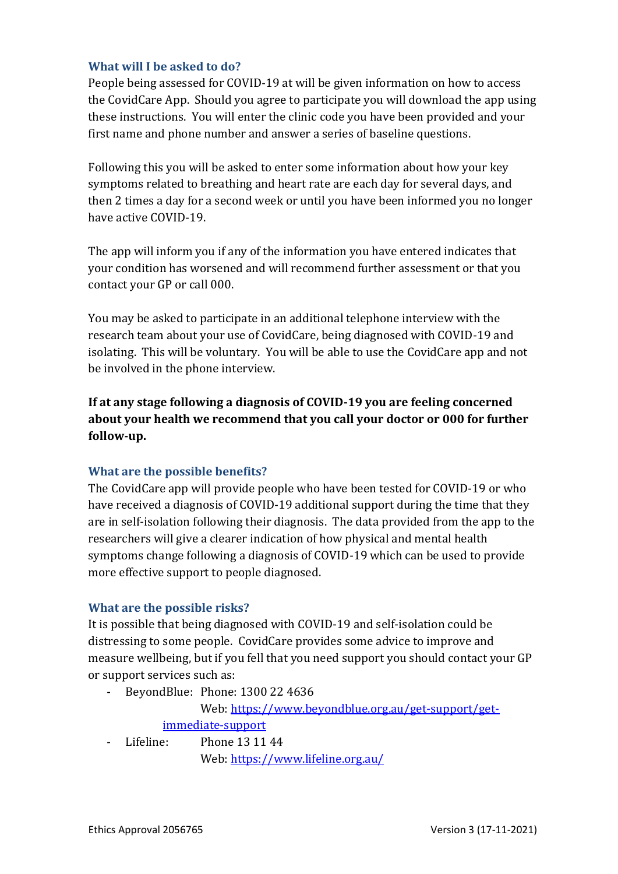# **What will I be asked to do?**

People being assessed for COVID-19 at will be given information on how to access the CovidCare App. Should you agree to participate you will download the app using these instructions. You will enter the clinic code you have been provided and your first name and phone number and answer a series of baseline questions.

Following this you will be asked to enter some information about how your key symptoms related to breathing and heart rate are each day for several days, and then 2 times a day for a second week or until you have been informed you no longer have active COVID-19.

The app will inform you if any of the information you have entered indicates that your condition has worsened and will recommend further assessment or that you contact your GP or call 000.

You may be asked to participate in an additional telephone interview with the research team about your use of CovidCare, being diagnosed with COVID-19 and isolating. This will be voluntary. You will be able to use the CovidCare app and not be involved in the phone interview.

**If at any stage following a diagnosis of COVID-19 you are feeling concerned about your health we recommend that you call your doctor or 000 for further follow-up.**

# **What are the possible benefits?**

The CovidCare app will provide people who have been tested for COVID-19 or who have received a diagnosis of COVID-19 additional support during the time that they are in self-isolation following their diagnosis. The data provided from the app to the researchers will give a clearer indication of how physical and mental health symptoms change following a diagnosis of COVID-19 which can be used to provide more effective support to people diagnosed.

#### **What are the possible risks?**

It is possible that being diagnosed with COVID-19 and self-isolation could be distressing to some people. CovidCare provides some advice to improve and measure wellbeing, but if you fell that you need support you should contact your GP or support services such as:

BeyondBlue: Phone: 1300 22 4636

Web: [https://www.beyondblue.org.au/get-support/get](https://www.beyondblue.org.au/get-support/get-immediate-support)[immediate-support](https://www.beyondblue.org.au/get-support/get-immediate-support)

- Lifeline: Phone 13 11 44

Web:<https://www.lifeline.org.au/>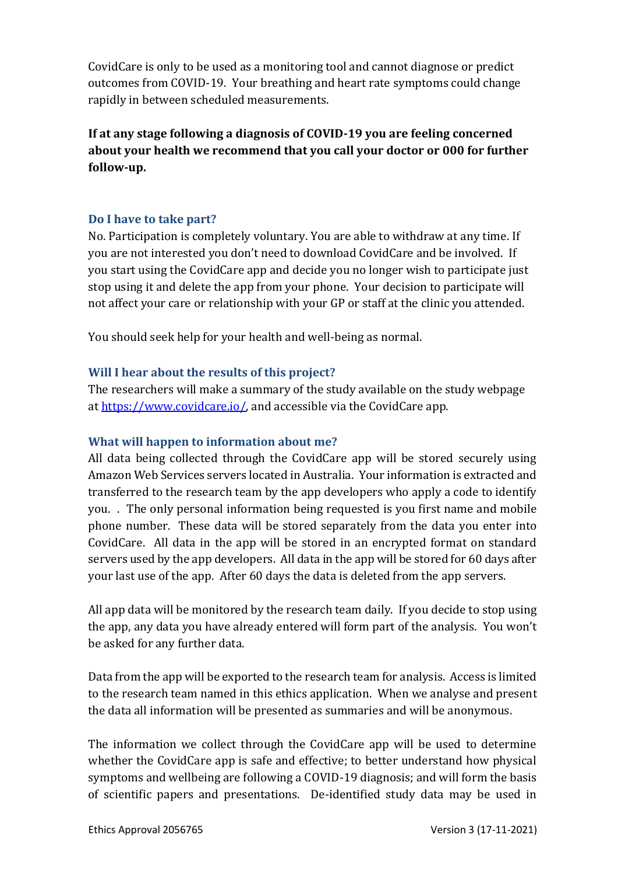CovidCare is only to be used as a monitoring tool and cannot diagnose or predict outcomes from COVID-19. Your breathing and heart rate symptoms could change rapidly in between scheduled measurements.

**If at any stage following a diagnosis of COVID-19 you are feeling concerned about your health we recommend that you call your doctor or 000 for further follow-up.**

#### **Do I have to take part?**

No. Participation is completely voluntary. You are able to withdraw at any time. If you are not interested you don't need to download CovidCare and be involved. If you start using the CovidCare app and decide you no longer wish to participate just stop using it and delete the app from your phone. Your decision to participate will not affect your care or relationship with your GP or staff at the clinic you attended.

You should seek help for your health and well-being as normal.

# **Will I hear about the results of this project?**

The researchers will make a summary of the study available on the study webpage a[t https://www.covidcare.io/,](https://www.covidcare.io/) and accessible via the CovidCare app.

# **What will happen to information about me?**

All data being collected through the CovidCare app will be stored securely using Amazon Web Services servers located in Australia. Your information is extracted and transferred to the research team by the app developers who apply a code to identify you. . The only personal information being requested is you first name and mobile phone number. These data will be stored separately from the data you enter into CovidCare. All data in the app will be stored in an encrypted format on standard servers used by the app developers. All data in the app will be stored for 60 days after your last use of the app. After 60 days the data is deleted from the app servers.

All app data will be monitored by the research team daily. If you decide to stop using the app, any data you have already entered will form part of the analysis. You won't be asked for any further data.

Data from the app will be exported to the research team for analysis. Access is limited to the research team named in this ethics application. When we analyse and present the data all information will be presented as summaries and will be anonymous.

The information we collect through the CovidCare app will be used to determine whether the CovidCare app is safe and effective; to better understand how physical symptoms and wellbeing are following a COVID-19 diagnosis; and will form the basis of scientific papers and presentations. De-identified study data may be used in